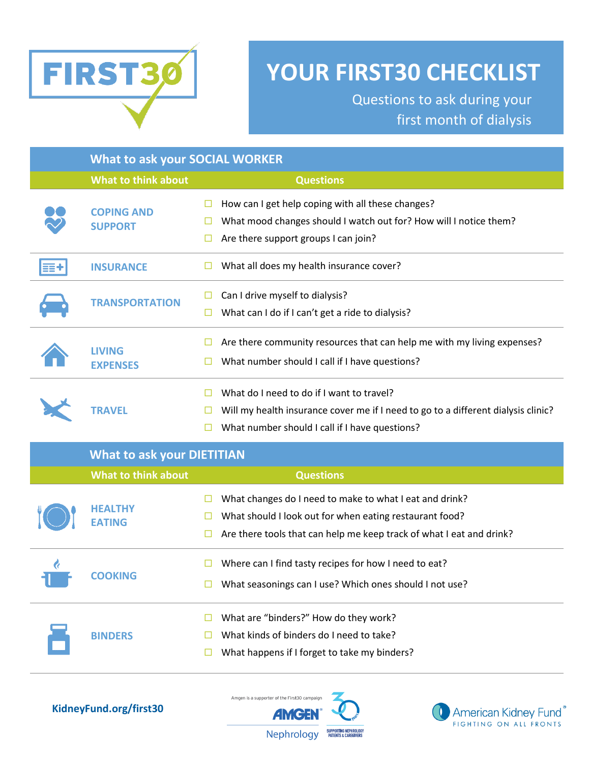FIRST30

## **YOUR FIRST30 CHECKLIST**

Questions to ask during your first month of dialysis

| <b>What to ask your SOCIAL WORKER</b> |                                                                                                                                                                                                                |  |
|---------------------------------------|----------------------------------------------------------------------------------------------------------------------------------------------------------------------------------------------------------------|--|
| <b>What to think about</b>            | <b>Questions</b>                                                                                                                                                                                               |  |
| <b>COPING AND</b><br><b>SUPPORT</b>   | How can I get help coping with all these changes?<br>□<br>What mood changes should I watch out for? How will I notice them?<br>□<br>Are there support groups I can join?<br>□                                  |  |
| <b>INSURANCE</b>                      | What all does my health insurance cover?<br>ப                                                                                                                                                                  |  |
| <b>TRANSPORTATION</b>                 | Can I drive myself to dialysis?<br>⊔<br>What can I do if I can't get a ride to dialysis?<br>ப                                                                                                                  |  |
| <b>LIVING</b><br><b>EXPENSES</b>      | Are there community resources that can help me with my living expenses?<br>□<br>What number should I call if I have questions?<br>ப                                                                            |  |
| <b>TRAVEL</b>                         | What do I need to do if I want to travel?<br>Ш<br>Will my health insurance cover me if I need to go to a different dialysis clinic?<br>Ш<br>What number should I call if I have questions?<br>□                |  |
| <b>What to ask your DIETITIAN</b>     |                                                                                                                                                                                                                |  |
| <b>What to think about</b>            | <b>Questions</b>                                                                                                                                                                                               |  |
| <b>HEALTHY</b><br><b>EATING</b>       | What changes do I need to make to what I eat and drink?<br>□<br>What should I look out for when eating restaurant food?<br>⊔<br>Are there tools that can help me keep track of what I eat and drink?<br>$\Box$ |  |
| <b>COOKING</b>                        | Where can I find tasty recipes for how I need to eat?<br>What seasonings can I use? Which ones should I not use?                                                                                               |  |
| <b>BINDERS</b>                        | What are "binders?" How do they work?<br>П<br>What kinds of binders do I need to take?<br>What happens if I forget to take my binders?<br>ப                                                                    |  |

**KidneyFund.org/first30**